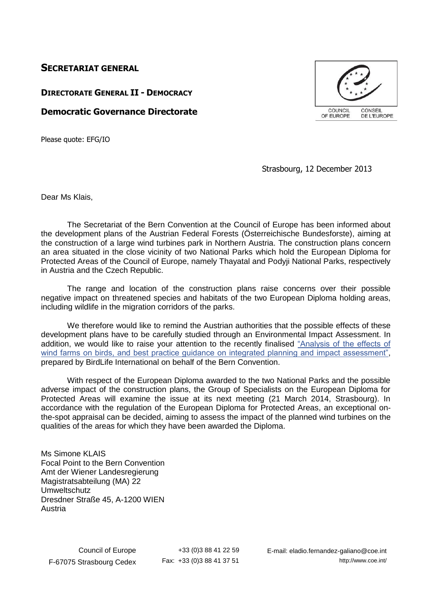## **SECRETARIAT GENERAL**

## **DIRECTORATE GENERAL II - DEMOCRACY**

## **Democratic Governance Directorate**

Please quote: EFG/IO



Strasbourg, 12 December 2013

Dear Ms Klais,

The Secretariat of the Bern Convention at the Council of Europe has been informed about the development plans of the Austrian Federal Forests (Österreichische Bundesforste), aiming at the construction of a large wind turbines park in Northern Austria. The construction plans concern an area situated in the close vicinity of two National Parks which hold the European Diploma for Protected Areas of the Council of Europe, namely Thayatal and Podyji National Parks, respectively in Austria and the Czech Republic.

The range and location of the construction plans raise concerns over their possible negative impact on threatened species and habitats of the two European Diploma holding areas, including wildlife in the migration corridors of the parks.

We therefore would like to remind the Austrian authorities that the possible effects of these development plans have to be carefully studied through an Environmental Impact Assessment. In addition, we would like to raise your attention to the recently finalised ["Analysis of the effects of](https://wcd.coe.int/ViewDoc.jsp?id=2064209&Site=&BackColorInternet=B9BDEE&BackColorIntranet=FFCD4F&BackColorLogged=FFC679)  [wind farms on birds, and best practice guidance on integrated planning and impact assessment",](https://wcd.coe.int/ViewDoc.jsp?id=2064209&Site=&BackColorInternet=B9BDEE&BackColorIntranet=FFCD4F&BackColorLogged=FFC679) prepared by BirdLife International on behalf of the Bern Convention.

With respect of the European Diploma awarded to the two National Parks and the possible adverse impact of the construction plans, the Group of Specialists on the European Diploma for Protected Areas will examine the issue at its next meeting (21 March 2014, Strasbourg). In accordance with the regulation of the European Diploma for Protected Areas, an exceptional onthe-spot appraisal can be decided, aiming to assess the impact of the planned wind turbines on the qualities of the areas for which they have been awarded the Diploma.

Ms Simone KLAIS Focal Point to the Bern Convention Amt der Wiener Landesregierung Magistratsabteilung (MA) 22 Umweltschutz Dresdner Straße 45, A-1200 WIEN Austria